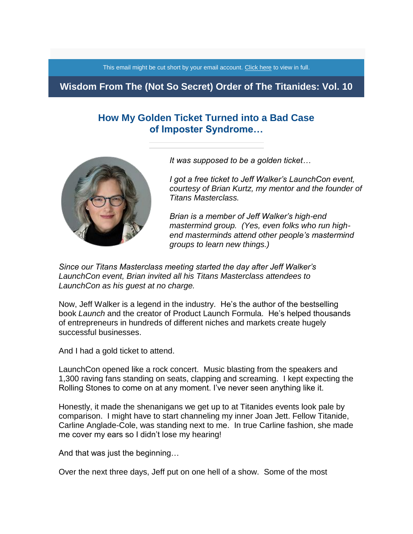This email might be cut short by your email account. [Click here](https://titanidesllc.acemlna.com/lt.php?notrack=1&s=874dcdf4876feb4a570195d937bf3a70&i=112A158A7A715) to view in full.

## **Wisdom From The (Not So Secret) Order of The Titanides: Vol. 10**

# **How My Golden Ticket Turned into a Bad Case of Imposter Syndrome…**



*It was supposed to be a golden ticket…*

*I got a free ticket to Jeff Walker's LaunchCon event, courtesy of Brian Kurtz, my mentor and the founder of Titans Masterclass.*

*Brian is a member of Jeff Walker's high-end mastermind group. (Yes, even folks who run highend masterminds attend other people's mastermind groups to learn new things.)*

*Since our Titans Masterclass meeting started the day after Jeff Walker's LaunchCon event, Brian invited all his Titans Masterclass attendees to LaunchCon as his guest at no charge.*

Now, Jeff Walker is a legend in the industry. He's the author of the bestselling book *Launch* and the creator of Product Launch Formula. He's helped thousands of entrepreneurs in hundreds of different niches and markets create hugely successful businesses.

And I had a gold ticket to attend.

LaunchCon opened like a rock concert. Music blasting from the speakers and 1,300 raving fans standing on seats, clapping and screaming. I kept expecting the Rolling Stones to come on at any moment. I've never seen anything like it.

Honestly, it made the shenanigans we get up to at Titanides events look pale by comparison. I might have to start channeling my inner Joan Jett. Fellow Titanide, Carline Anglade-Cole, was standing next to me. In true Carline fashion, she made me cover my ears so I didn't lose my hearing!

And that was just the beginning…

Over the next three days, Jeff put on one hell of a show. Some of the most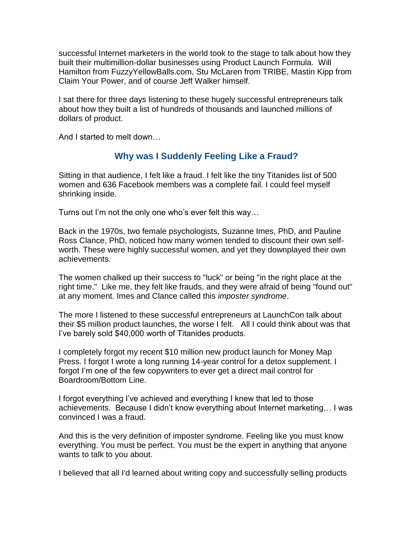successful Internet marketers in the world took to the stage to talk about how they built their multimillion-dollar businesses using Product Launch Formula. Will Hamilton from FuzzyYellowBalls.com, Stu McLaren from TRIBE, Mastin Kipp from Claim Your Power, and of course Jeff Walker himself.

I sat there for three days listening to these hugely successful entrepreneurs talk about how they built a list of hundreds of thousands and launched millions of dollars of product.

And I started to melt down…

## **Why was I Suddenly Feeling Like a Fraud?**

Sitting in that audience, I felt like a fraud. I felt like the tiny Titanides list of 500 women and 636 Facebook members was a complete fail. I could feel myself shrinking inside.

Turns out I'm not the only one who's ever felt this way…

Back in the 1970s, two female psychologists, Suzanne Imes, PhD, and Pauline Ross Clance, PhD, noticed how many women tended to discount their own selfworth. These were highly successful women, and yet they downplayed their own achievements.

The women chalked up their success to "luck" or being "in the right place at the right time." Like me, they felt like frauds, and they were afraid of being "found out" at any moment. Imes and Clance called this *imposter syndrome*.

The more I listened to these successful entrepreneurs at LaunchCon talk about their \$5 million product launches, the worse I felt. All I could think about was that I've barely sold \$40,000 worth of Titanides products.

I completely forgot my recent \$10 million new product launch for Money Map Press. I forgot I wrote a long running 14-year control for a detox supplement. I forgot I'm one of the few copywriters to ever get a direct mail control for Boardroom/Bottom Line.

I forgot everything I've achieved and everything I knew that led to those achievements. Because I didn't know everything about Internet marketing… I was convinced I was a fraud.

And this is the very definition of imposter syndrome. Feeling like you must know everything. You must be perfect. You must be the expert in anything that anyone wants to talk to you about.

I believed that all I'd learned about writing copy and successfully selling products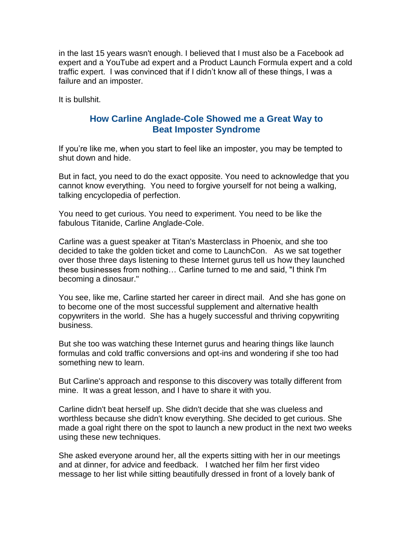in the last 15 years wasn't enough. I believed that I must also be a Facebook ad expert and a YouTube ad expert and a Product Launch Formula expert and a cold traffic expert. I was convinced that if I didn't know all of these things, I was a failure and an imposter.

It is bullshit.

## **How Carline Anglade-Cole Showed me a Great Way to Beat Imposter Syndrome**

If you're like me, when you start to feel like an imposter, you may be tempted to shut down and hide.

But in fact, you need to do the exact opposite. You need to acknowledge that you cannot know everything. You need to forgive yourself for not being a walking, talking encyclopedia of perfection.

You need to get curious. You need to experiment. You need to be like the fabulous Titanide, Carline Anglade-Cole.

Carline was a guest speaker at Titan's Masterclass in Phoenix, and she too decided to take the golden ticket and come to LaunchCon. As we sat together over those three days listening to these Internet gurus tell us how they launched these businesses from nothing… Carline turned to me and said, "I think I'm becoming a dinosaur."

You see, like me, Carline started her career in direct mail. And she has gone on to become one of the most successful supplement and alternative health copywriters in the world. She has a hugely successful and thriving copywriting business.

But she too was watching these Internet gurus and hearing things like launch formulas and cold traffic conversions and opt-ins and wondering if she too had something new to learn.

But Carline's approach and response to this discovery was totally different from mine. It was a great lesson, and I have to share it with you.

Carline didn't beat herself up. She didn't decide that she was clueless and worthless because she didn't know everything. She decided to get curious. She made a goal right there on the spot to launch a new product in the next two weeks using these new techniques.

She asked everyone around her, all the experts sitting with her in our meetings and at dinner, for advice and feedback. I watched her film her first video message to her list while sitting beautifully dressed in front of a lovely bank of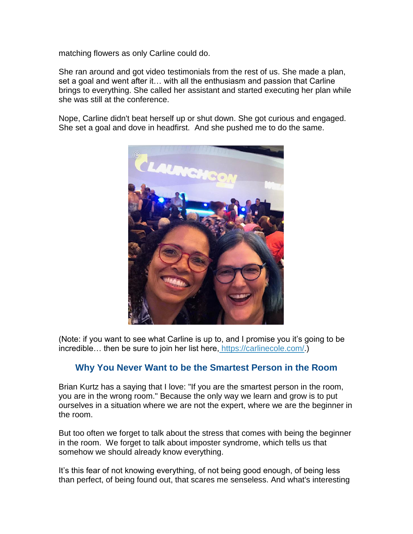matching flowers as only Carline could do.

She ran around and got video testimonials from the rest of us. She made a plan, set a goal and went after it… with all the enthusiasm and passion that Carline brings to everything. She called her assistant and started executing her plan while she was still at the conference.

Nope, Carline didn't beat herself up or shut down. She got curious and engaged. She set a goal and dove in headfirst. And she pushed me to do the same.



(Note: if you want to see what Carline is up to, and I promise you it's going to be incredible… then be sure to join her list here, [https://carlinecole.com/.](https://titanidesllc.acemlna.com/lt.php?notrack=1&s=874dcdf4876feb4a570195d937bf3a70&i=112A158A7A716))

## **Why You Never Want to be the Smartest Person in the Room**

Brian Kurtz has a saying that I love: "If you are the smartest person in the room, you are in the wrong room." Because the only way we learn and grow is to put ourselves in a situation where we are not the expert, where we are the beginner in the room.

But too often we forget to talk about the stress that comes with being the beginner in the room. We forget to talk about imposter syndrome, which tells us that somehow we should already know everything.

It's this fear of not knowing everything, of not being good enough, of being less than perfect, of being found out, that scares me senseless. And what's interesting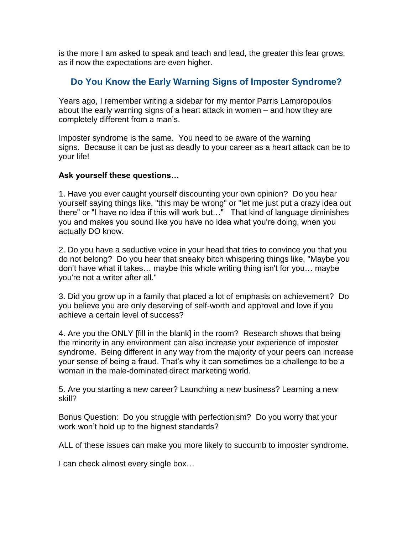is the more I am asked to speak and teach and lead, the greater this fear grows, as if now the expectations are even higher.

# **Do You Know the Early Warning Signs of Imposter Syndrome?**

Years ago, I remember writing a sidebar for my mentor Parris Lampropoulos about the early warning signs of a heart attack in women – and how they are completely different from a man's.

Imposter syndrome is the same. You need to be aware of the warning signs. Because it can be just as deadly to your career as a heart attack can be to your life!

### **Ask yourself these questions…**

1. Have you ever caught yourself discounting your own opinion? Do you hear yourself saying things like, "this may be wrong" or "let me just put a crazy idea out there" or "I have no idea if this will work but…" That kind of language diminishes you and makes you sound like you have no idea what you're doing, when you actually DO know.

2. Do you have a seductive voice in your head that tries to convince you that you do not belong? Do you hear that sneaky bitch whispering things like, "Maybe you don't have what it takes… maybe this whole writing thing isn't for you… maybe you're not a writer after all."

3. Did you grow up in a family that placed a lot of emphasis on achievement? Do you believe you are only deserving of self-worth and approval and love if you achieve a certain level of success?

4. Are you the ONLY [fill in the blank] in the room? Research shows that being the minority in any environment can also increase your experience of imposter syndrome. Being different in any way from the majority of your peers can increase your sense of being a fraud. That's why it can sometimes be a challenge to be a woman in the male-dominated direct marketing world.

5. Are you starting a new career? Launching a new business? Learning a new skill?

Bonus Question: Do you struggle with perfectionism? Do you worry that your work won't hold up to the highest standards?

ALL of these issues can make you more likely to succumb to imposter syndrome.

I can check almost every single box…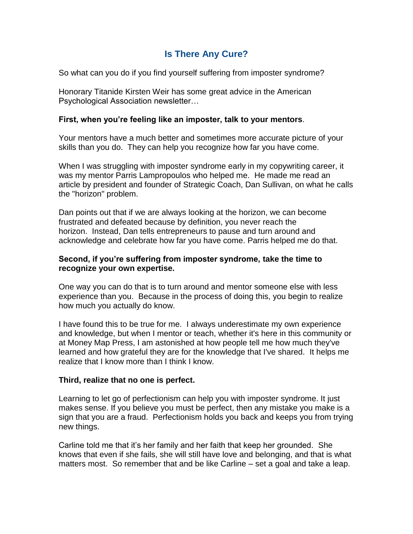# **Is There Any Cure?**

So what can you do if you find yourself suffering from imposter syndrome?

Honorary Titanide Kirsten Weir has some great advice in the American Psychological Association newsletter…

### **First, when you're feeling like an imposter, talk to your mentors**.

Your mentors have a much better and sometimes more accurate picture of your skills than you do. They can help you recognize how far you have come.

When I was struggling with imposter syndrome early in my copywriting career, it was my mentor Parris Lampropoulos who helped me. He made me read an article by president and founder of Strategic Coach, Dan Sullivan, on what he calls the "horizon" problem.

Dan points out that if we are always looking at the horizon, we can become frustrated and defeated because by definition, you never reach the horizon. Instead, Dan tells entrepreneurs to pause and turn around and acknowledge and celebrate how far you have come. Parris helped me do that.

#### **Second, if you're suffering from imposter syndrome, take the time to recognize your own expertise.**

One way you can do that is to turn around and mentor someone else with less experience than you. Because in the process of doing this, you begin to realize how much you actually do know.

I have found this to be true for me. I always underestimate my own experience and knowledge, but when I mentor or teach, whether it's here in this community or at Money Map Press, I am astonished at how people tell me how much they've learned and how grateful they are for the knowledge that I've shared. It helps me realize that I know more than I think I know.

### **Third, realize that no one is perfect.**

Learning to let go of perfectionism can help you with imposter syndrome. It just makes sense. If you believe you must be perfect, then any mistake you make is a sign that you are a fraud. Perfectionism holds you back and keeps you from trying new things.

Carline told me that it's her family and her faith that keep her grounded. She knows that even if she fails, she will still have love and belonging, and that is what matters most. So remember that and be like Carline – set a goal and take a leap.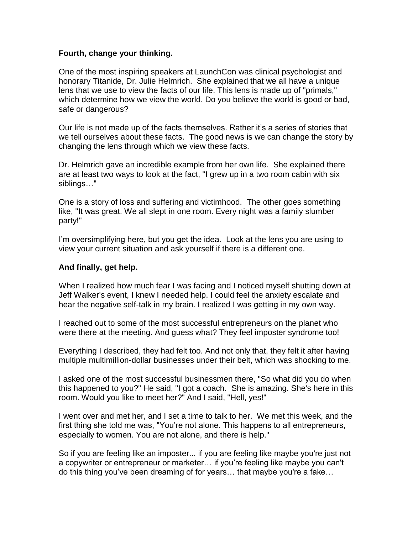#### **Fourth, change your thinking.**

One of the most inspiring speakers at LaunchCon was clinical psychologist and honorary Titanide, Dr. Julie Helmrich. She explained that we all have a unique lens that we use to view the facts of our life. This lens is made up of "primals," which determine how we view the world. Do you believe the world is good or bad, safe or dangerous?

Our life is not made up of the facts themselves. Rather it's a series of stories that we tell ourselves about these facts. The good news is we can change the story by changing the lens through which we view these facts.

Dr. Helmrich gave an incredible example from her own life. She explained there are at least two ways to look at the fact, "I grew up in a two room cabin with six siblings…"

One is a story of loss and suffering and victimhood. The other goes something like, "It was great. We all slept in one room. Every night was a family slumber party!"

I'm oversimplifying here, but you get the idea. Look at the lens you are using to view your current situation and ask yourself if there is a different one.

### **And finally, get help.**

When I realized how much fear I was facing and I noticed myself shutting down at Jeff Walker's event, I knew I needed help. I could feel the anxiety escalate and hear the negative self-talk in my brain. I realized I was getting in my own way.

I reached out to some of the most successful entrepreneurs on the planet who were there at the meeting. And guess what? They feel imposter syndrome too!

Everything I described, they had felt too. And not only that, they felt it after having multiple multimillion-dollar businesses under their belt, which was shocking to me.

I asked one of the most successful businessmen there, "So what did you do when this happened to you?" He said, "I got a coach. She is amazing. She's here in this room. Would you like to meet her?" And I said, "Hell, yes!"

I went over and met her, and I set a time to talk to her. We met this week, and the first thing she told me was, "You're not alone. This happens to all entrepreneurs, especially to women. You are not alone, and there is help."

So if you are feeling like an imposter... if you are feeling like maybe you're just not a copywriter or entrepreneur or marketer… if you're feeling like maybe you can't do this thing you've been dreaming of for years… that maybe you're a fake…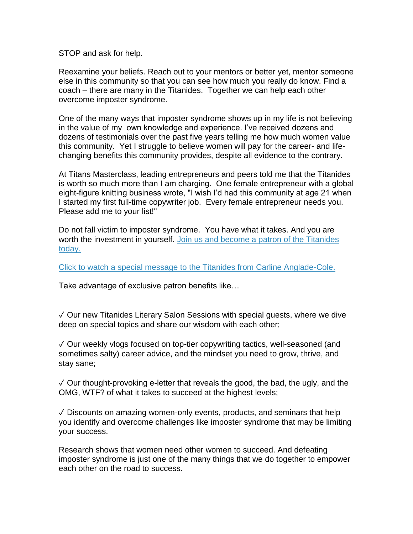STOP and ask for help.

Reexamine your beliefs. Reach out to your mentors or better yet, mentor someone else in this community so that you can see how much you really do know. Find a coach – there are many in the Titanides. Together we can help each other overcome imposter syndrome.

One of the many ways that imposter syndrome shows up in my life is not believing in the value of my own knowledge and experience. I've received dozens and dozens of testimonials over the past five years telling me how much women value this community. Yet I struggle to believe women will pay for the career- and lifechanging benefits this community provides, despite all evidence to the contrary.

At Titans Masterclass, leading entrepreneurs and peers told me that the Titanides is worth so much more than I am charging. One female entrepreneur with a global eight-figure knitting business wrote, "I wish I'd had this community at age 21 when I started my first full-time copywriter job. Every female entrepreneur needs you. Please add me to your list!"

Do not fall victim to imposter syndrome. You have what it takes. And you are worth the investment in yourself. [Join us and become a patron of the Titanides](https://titanidesllc.acemlna.com/lt.php?notrack=1&s=874dcdf4876feb4a570195d937bf3a70&i=112A158A7A717)  [today.](https://titanidesllc.acemlna.com/lt.php?notrack=1&s=874dcdf4876feb4a570195d937bf3a70&i=112A158A7A717)

[Click to watch a special message to the Titanides from Carline Anglade-Cole.](https://titanidesllc.acemlna.com/lt.php?notrack=1&s=874dcdf4876feb4a570195d937bf3a70&i=112A158A7A718)

Take advantage of exclusive patron benefits like…

✓ Our new Titanides Literary Salon Sessions with special guests, where we dive deep on special topics and share our wisdom with each other;

✓ Our weekly vlogs focused on top-tier copywriting tactics, well-seasoned (and sometimes salty) career advice, and the mindset you need to grow, thrive, and stay sane;

 $\sqrt{2}$  Our thought-provoking e-letter that reveals the good, the bad, the ugly, and the OMG, WTF? of what it takes to succeed at the highest levels;

 $\sqrt{\ }$  Discounts on amazing women-only events, products, and seminars that help you identify and overcome challenges like imposter syndrome that may be limiting your success.

Research shows that women need other women to succeed. And defeating imposter syndrome is just one of the many things that we do together to empower each other on the road to success.